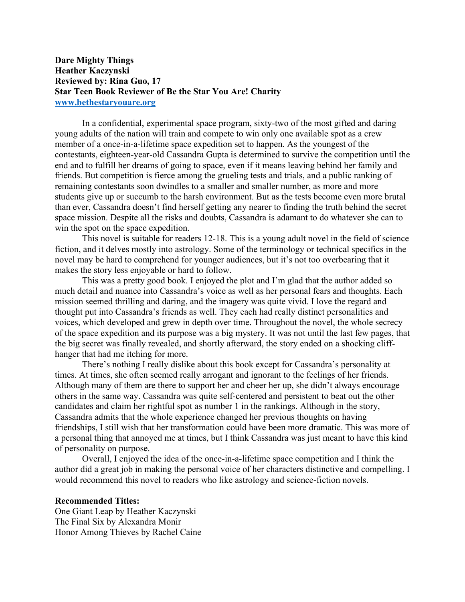## **Dare Mighty Things Heather Kaczynski Reviewed by: Rina Guo, 17 Star Teen Book Reviewer of Be the Star You Are! Charity www.bethestaryouare.org**

In a confidential, experimental space program, sixty-two of the most gifted and daring young adults of the nation will train and compete to win only one available spot as a crew member of a once-in-a-lifetime space expedition set to happen. As the youngest of the contestants, eighteen-year-old Cassandra Gupta is determined to survive the competition until the end and to fulfill her dreams of going to space, even if it means leaving behind her family and friends. But competition is fierce among the grueling tests and trials, and a public ranking of remaining contestants soon dwindles to a smaller and smaller number, as more and more students give up or succumb to the harsh environment. But as the tests become even more brutal than ever, Cassandra doesn't find herself getting any nearer to finding the truth behind the secret space mission. Despite all the risks and doubts, Cassandra is adamant to do whatever she can to win the spot on the space expedition.

This novel is suitable for readers 12-18. This is a young adult novel in the field of science fiction, and it delves mostly into astrology. Some of the terminology or technical specifics in the novel may be hard to comprehend for younger audiences, but it's not too overbearing that it makes the story less enjoyable or hard to follow.

This was a pretty good book. I enjoyed the plot and I'm glad that the author added so much detail and nuance into Cassandra's voice as well as her personal fears and thoughts. Each mission seemed thrilling and daring, and the imagery was quite vivid. I love the regard and thought put into Cassandra's friends as well. They each had really distinct personalities and voices, which developed and grew in depth over time. Throughout the novel, the whole secrecy of the space expedition and its purpose was a big mystery. It was not until the last few pages, that the big secret was finally revealed, and shortly afterward, the story ended on a shocking cliffhanger that had me itching for more.

There's nothing I really dislike about this book except for Cassandra's personality at times. At times, she often seemed really arrogant and ignorant to the feelings of her friends. Although many of them are there to support her and cheer her up, she didn't always encourage others in the same way. Cassandra was quite self-centered and persistent to beat out the other candidates and claim her rightful spot as number 1 in the rankings. Although in the story, Cassandra admits that the whole experience changed her previous thoughts on having friendships, I still wish that her transformation could have been more dramatic. This was more of a personal thing that annoyed me at times, but I think Cassandra was just meant to have this kind of personality on purpose.

Overall, I enjoyed the idea of the once-in-a-lifetime space competition and I think the author did a great job in making the personal voice of her characters distinctive and compelling. I would recommend this novel to readers who like astrology and science-fiction novels.

## **Recommended Titles:**

One Giant Leap by Heather Kaczynski The Final Six by Alexandra Monir Honor Among Thieves by Rachel Caine